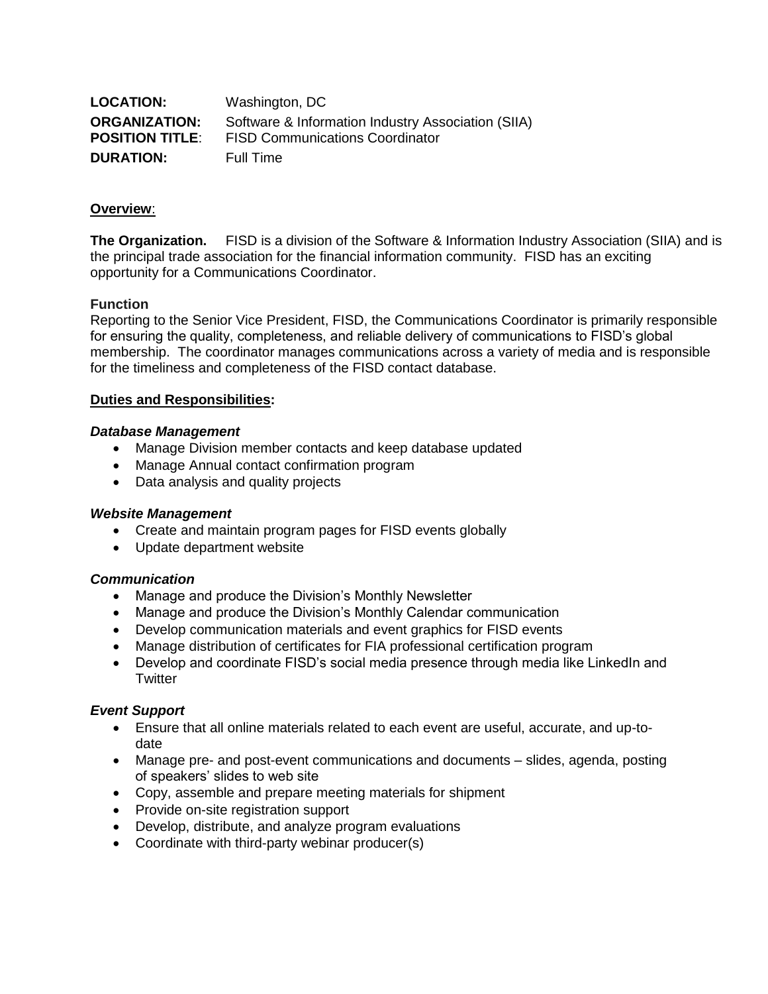| <b>LOCATION:</b>       | Washington, DC                                     |
|------------------------|----------------------------------------------------|
| <b>ORGANIZATION:</b>   | Software & Information Industry Association (SIIA) |
| <b>POSITION TITLE:</b> | <b>FISD Communications Coordinator</b>             |
| <b>DURATION:</b>       | Full Time                                          |

### **Overview**:

**The Organization.** FISD is a division of the Software & Information Industry Association (SIIA) and is the principal trade association for the financial information community. FISD has an exciting opportunity for a Communications Coordinator.

## **Function**

Reporting to the Senior Vice President, FISD, the Communications Coordinator is primarily responsible for ensuring the quality, completeness, and reliable delivery of communications to FISD's global membership. The coordinator manages communications across a variety of media and is responsible for the timeliness and completeness of the FISD contact database.

## **Duties and Responsibilities:**

### *Database Management*

- Manage Division member contacts and keep database updated
- Manage Annual contact confirmation program
- Data analysis and quality projects

### *Website Management*

- Create and maintain program pages for FISD events globally
- Update department website

### *Communication*

- Manage and produce the Division's Monthly Newsletter
- Manage and produce the Division's Monthly Calendar communication
- Develop communication materials and event graphics for FISD events
- Manage distribution of certificates for FIA professional certification program
- Develop and coordinate FISD's social media presence through media like LinkedIn and **Twitter**

### *Event Support*

- Ensure that all online materials related to each event are useful, accurate, and up-todate
- Manage pre- and post-event communications and documents slides, agenda, posting of speakers' slides to web site
- Copy, assemble and prepare meeting materials for shipment
- Provide on-site registration support
- Develop, distribute, and analyze program evaluations
- Coordinate with third-party webinar producer(s)